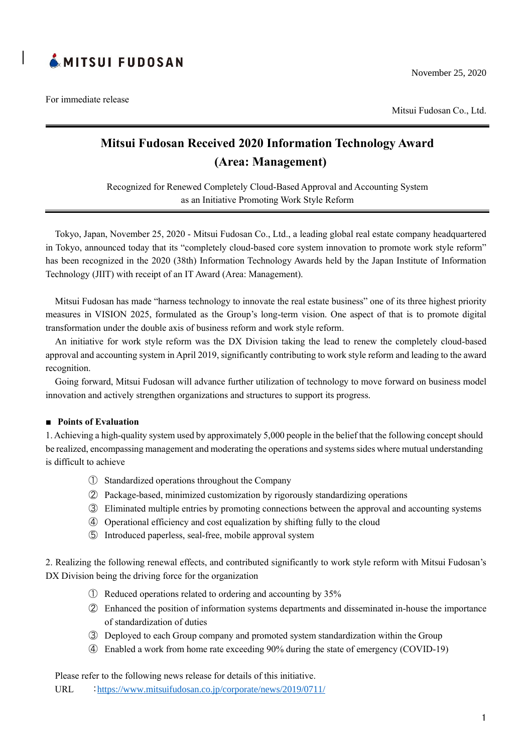

For immediate release

Mitsui Fudosan Co., Ltd.

# **Mitsui Fudosan Received 2020 Information Technology Award (Area: Management)**

Recognized for Renewed Completely Cloud-Based Approval and Accounting System as an Initiative Promoting Work Style Reform

Tokyo, Japan, November 25, 2020 - Mitsui Fudosan Co., Ltd., a leading global real estate company headquartered in Tokyo, announced today that its "completely cloud-based core system innovation to promote work style reform" has been recognized in the 2020 (38th) Information Technology Awards held by the Japan Institute of Information Technology (JIIT) with receipt of an IT Award (Area: Management).

Mitsui Fudosan has made "harness technology to innovate the real estate business" one of its three highest priority measures in VISION 2025, formulated as the Group's long-term vision. One aspect of that is to promote digital transformation under the double axis of business reform and work style reform.

An initiative for work style reform was the DX Division taking the lead to renew the completely cloud-based approval and accounting system in April 2019, significantly contributing to work style reform and leading to the award recognition.

Going forward, Mitsui Fudosan will advance further utilization of technology to move forward on business model innovation and actively strengthen organizations and structures to support its progress.

## **■ Points of Evaluation**

1. Achieving a high-quality system used by approximately 5,000 people in the belief that the following concept should be realized, encompassing management and moderating the operations and systems sides where mutual understanding is difficult to achieve

- ① Standardized operations throughout the Company
- ② Package-based, minimized customization by rigorously standardizing operations
- ③ Eliminated multiple entries by promoting connections between the approval and accounting systems
- ④ Operational efficiency and cost equalization by shifting fully to the cloud
- ⑤ Introduced paperless, seal-free, mobile approval system

2. Realizing the following renewal effects, and contributed significantly to work style reform with Mitsui Fudosan's DX Division being the driving force for the organization

- ① Reduced operations related to ordering and accounting by 35%
- ② Enhanced the position of information systems departments and disseminated in-house the importance of standardization of duties
- ③ Deployed to each Group company and promoted system standardization within the Group
- ④ Enabled a work from home rate exceeding 90% during the state of emergency (COVID-19)

Please refer to the following news release for details of this initiative.

URL <https://www.mitsuifudosan.co.jp/corporate/news/2019/0711/>